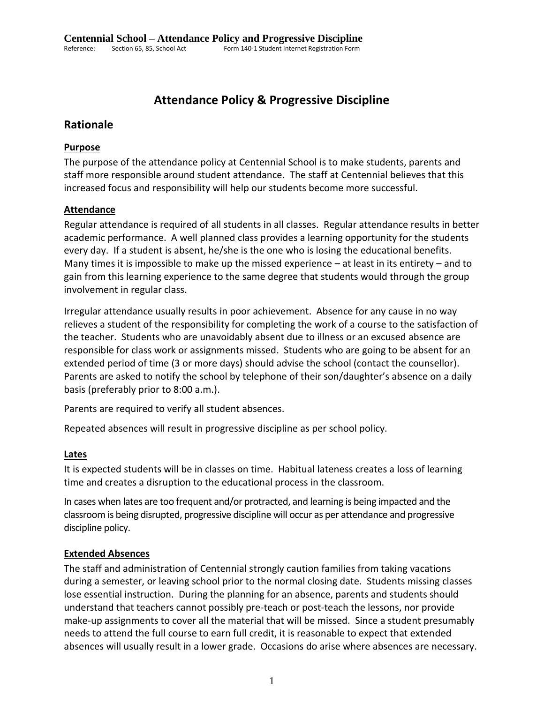# **Attendance Policy & Progressive Discipline**

# **Rationale**

# **Purpose**

The purpose of the attendance policy at Centennial School is to make students, parents and staff more responsible around student attendance. The staff at Centennial believes that this increased focus and responsibility will help our students become more successful.

# **Attendance**

Regular attendance is required of all students in all classes. Regular attendance results in better academic performance. A well planned class provides a learning opportunity for the students every day. If a student is absent, he/she is the one who is losing the educational benefits. Many times it is impossible to make up the missed experience – at least in its entirety – and to gain from this learning experience to the same degree that students would through the group involvement in regular class.

Irregular attendance usually results in poor achievement. Absence for any cause in no way relieves a student of the responsibility for completing the work of a course to the satisfaction of the teacher. Students who are unavoidably absent due to illness or an excused absence are responsible for class work or assignments missed. Students who are going to be absent for an extended period of time (3 or more days) should advise the school (contact the counsellor). Parents are asked to notify the school by telephone of their son/daughter's absence on a daily basis (preferably prior to 8:00 a.m.).

Parents are required to verify all student absences.

Repeated absences will result in progressive discipline as per school policy.

## **Lates**

It is expected students will be in classes on time. Habitual lateness creates a loss of learning time and creates a disruption to the educational process in the classroom.

In cases when lates are too frequent and/or protracted, and learning is being impacted and the classroom is being disrupted, progressive discipline will occur as per attendance and progressive discipline policy.

## **Extended Absences**

The staff and administration of Centennial strongly caution families from taking vacations during a semester, or leaving school prior to the normal closing date. Students missing classes lose essential instruction. During the planning for an absence, parents and students should understand that teachers cannot possibly pre-teach or post-teach the lessons, nor provide make-up assignments to cover all the material that will be missed. Since a student presumably needs to attend the full course to earn full credit, it is reasonable to expect that extended absences will usually result in a lower grade. Occasions do arise where absences are necessary.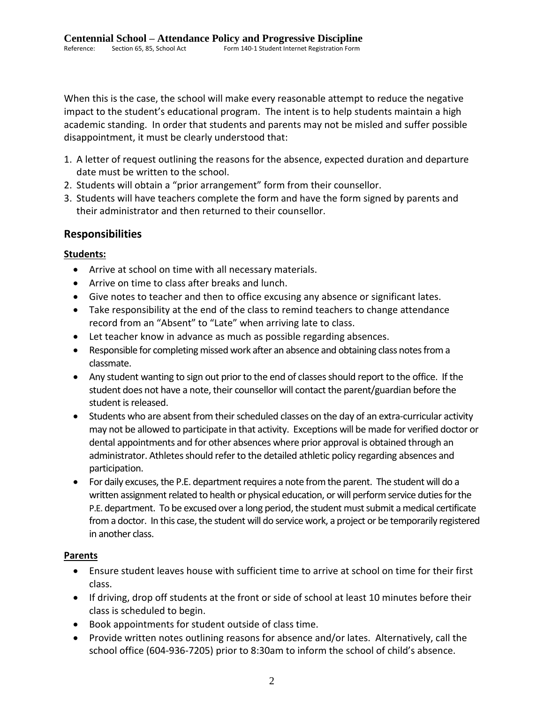When this is the case, the school will make every reasonable attempt to reduce the negative impact to the student's educational program. The intent is to help students maintain a high academic standing. In order that students and parents may not be misled and suffer possible disappointment, it must be clearly understood that:

- 1. A letter of request outlining the reasons for the absence, expected duration and departure date must be written to the school.
- 2. Students will obtain a "prior arrangement" form from their counsellor.
- 3. Students will have teachers complete the form and have the form signed by parents and their administrator and then returned to their counsellor.

# **Responsibilities**

## **Students:**

- Arrive at school on time with all necessary materials.
- Arrive on time to class after breaks and lunch.
- Give notes to teacher and then to office excusing any absence or significant lates.
- Take responsibility at the end of the class to remind teachers to change attendance record from an "Absent" to "Late" when arriving late to class.
- Let teacher know in advance as much as possible regarding absences.
- Responsible for completing missed work after an absence and obtaining class notes from a classmate.
- Any student wanting to sign out prior to the end of classes should report to the office. If the student does not have a note, their counsellor will contact the parent/guardian before the student is released.
- Students who are absent from their scheduled classes on the day of an extra-curricular activity may not be allowed to participate in that activity. Exceptions will be made for verified doctor or dental appointments and for other absences where prior approval is obtained through an administrator. Athletes should refer to the detailed athletic policy regarding absences and participation.
- For daily excuses, the P.E. department requires a note from the parent. The student will do a written assignment related to health or physical education, or will perform service duties for the P.E. department. To be excused over a long period, the student must submit a medical certificate from a doctor. In this case, the student will do service work, a project or be temporarily registered in another class.

## **Parents**

- Ensure student leaves house with sufficient time to arrive at school on time for their first class.
- If driving, drop off students at the front or side of school at least 10 minutes before their class is scheduled to begin.
- Book appointments for student outside of class time.
- Provide written notes outlining reasons for absence and/or lates. Alternatively, call the school office (604-936-7205) prior to 8:30am to inform the school of child's absence.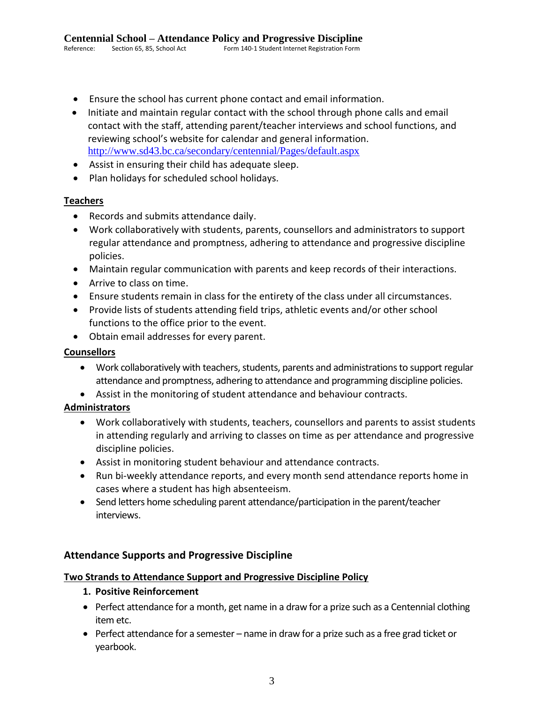- Ensure the school has current phone contact and email information.
- Initiate and maintain regular contact with the school through phone calls and email contact with the staff, attending parent/teacher interviews and school functions, and reviewing school's website for calendar and general information. <http://www.sd43.bc.ca/secondary/centennial/Pages/default.aspx>
- Assist in ensuring their child has adequate sleep.
- Plan holidays for scheduled school holidays.

# **Teachers**

- Records and submits attendance daily.
- Work collaboratively with students, parents, counsellors and administrators to support regular attendance and promptness, adhering to attendance and progressive discipline policies.
- Maintain regular communication with parents and keep records of their interactions.
- Arrive to class on time.
- Ensure students remain in class for the entirety of the class under all circumstances.
- Provide lists of students attending field trips, athletic events and/or other school functions to the office prior to the event.
- Obtain email addresses for every parent.

## **Counsellors**

- Work collaboratively with teachers, students, parents and administrations to support regular attendance and promptness, adhering to attendance and programming discipline policies.
- Assist in the monitoring of student attendance and behaviour contracts.

# **Administrators**

- Work collaboratively with students, teachers, counsellors and parents to assist students in attending regularly and arriving to classes on time as per attendance and progressive discipline policies.
- Assist in monitoring student behaviour and attendance contracts.
- Run bi-weekly attendance reports, and every month send attendance reports home in cases where a student has high absenteeism.
- Send letters home scheduling parent attendance/participation in the parent/teacher interviews.

# **Attendance Supports and Progressive Discipline**

## **Two Strands to Attendance Support and Progressive Discipline Policy**

- **1. Positive Reinforcement**
- Perfect attendance for a month, get name in a draw for a prize such as a Centennial clothing item etc.
- Perfect attendance for a semester name in draw for a prize such as a free grad ticket or yearbook.